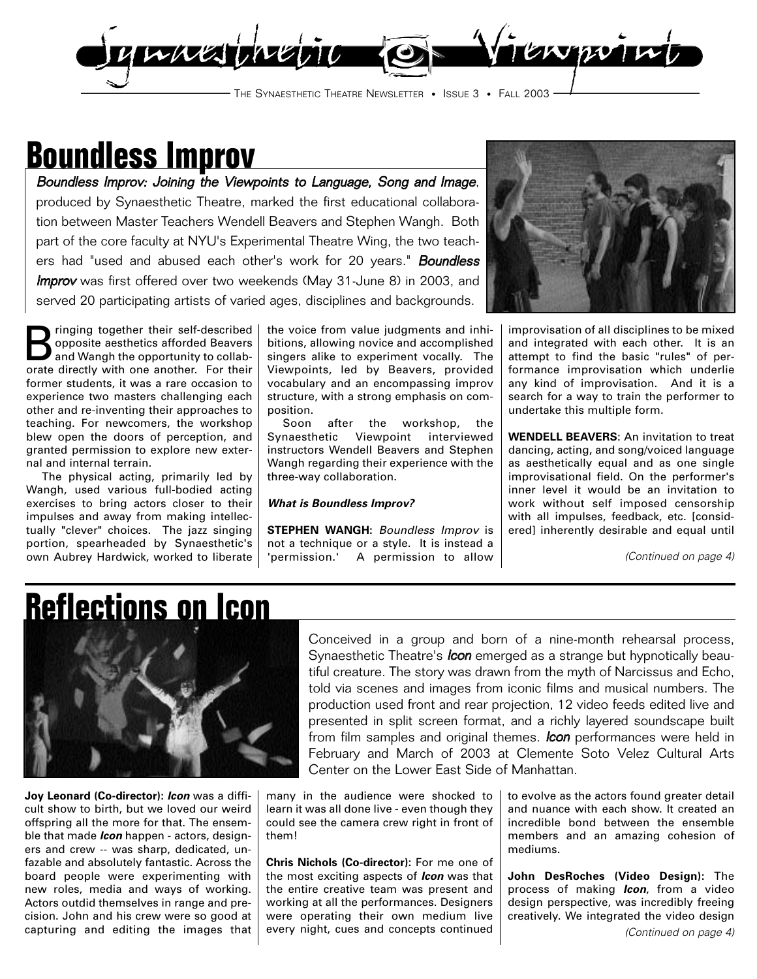

## **Boundless Improv**

Boundless Improv: Joining the Viewpoints to Language, Song and Image, produced by Synaesthetic Theatre, marked the first educational collaboration between Master Teachers Wendell Beavers and Stephen Wangh. Both part of the core faculty at NYU's Experimental Theatre Wing, the two teachers had "used and abused each other's work for 20 years." **Boundless** Improv was first offered over two weekends (May 31-June 8) in 2003, and served 20 participating artists of varied ages, disciplines and backgrounds.

**B** ringing together their self-described<br>
opposite aesthetics afforded Beavers<br>
and Wangh the opportunity to collab-<br>
or their formal proportion of their<br>
contract their opposite aesthetics afforded Beavers orate directly with one another. For their former students, it was a rare occasion to experience two masters challenging each other and re-inventing their approaches to teaching. For newcomers, the workshop blew open the doors of perception, and granted permission to explore new external and internal terrain.

The physical acting, primarily led by Wangh, used various full-bodied acting exercises to bring actors closer to their impulses and away from making intellectually "clever" choices. The jazz singing portion, spearheaded by Synaesthetic's own Aubrey Hardwick, worked to liberate

the voice from value judgments and inhibitions, allowing novice and accomplished singers alike to experiment vocally. The Viewpoints, led by Beavers, provided vocabulary and an encompassing improv structure, with a strong emphasis on composition.

Soon after the workshop, the Synaesthetic Viewpoint interviewed instructors Wendell Beavers and Stephen Wangh regarding their experience with the three-way collaboration.

### **What is Boundless Improv?**

**STEPHEN WANGH: Boundless Improv is** not a technique or a style. It is instead a 'permission.' A permission to allow



improvisation of all disciplines to be mixed and integrated with each other. It is an attempt to find the basic "rules" of performance improvisation which underlie any kind of improvisation. And it is a search for a way to train the performer to undertake this multiple form.

**WENDELL BEAVERS**: An invitation to treat dancing, acting, and song/voiced language as aesthetically equal and as one single improvisational field. On the performer's inner level it would be an invitation to work without self imposed censorship with all impulses, feedback, etc. [considered] inherently desirable and equal until

(Continued on page 4)

## **Reflections on Icon**



**Joy Leonard (Co-director): Icon** was a difficult show to birth, but we loved our weird offspring all the more for that. The ensemble that made **Icon** happen - actors, designers and crew -- was sharp, dedicated, unfazable and absolutely fantastic. Across the board people were experimenting with new roles, media and ways of working. Actors outdid themselves in range and precision. John and his crew were so good at capturing and editing the images that Conceived in a group and born of a nine-month rehearsal process, Synaesthetic Theatre's *Icon* emerged as a strange but hypnotically beautiful creature. The story was drawn from the myth of Narcissus and Echo, told via scenes and images from iconic films and musical numbers. The production used front and rear projection, 12 video feeds edited live and presented in split screen format, and a richly layered soundscape built from film samples and original themes. **Icon** performances were held in February and March of 2003 at Clemente Soto Velez Cultural Arts Center on the Lower East Side of Manhattan.

many in the audience were shocked to learn it was all done live - even though they could see the camera crew right in front of them!

**Chris Nichols (Co-director):** For me one of the most exciting aspects of **Icon** was that the entire creative team was present and working at all the performances. Designers were operating their own medium live every night, cues and concepts continued to evolve as the actors found greater detail and nuance with each show. It created an incredible bond between the ensemble members and an amazing cohesion of mediums.

**John DesRoches (Video Design):** The process of making **Icon**, from a video design perspective, was incredibly freeing creatively. We integrated the video design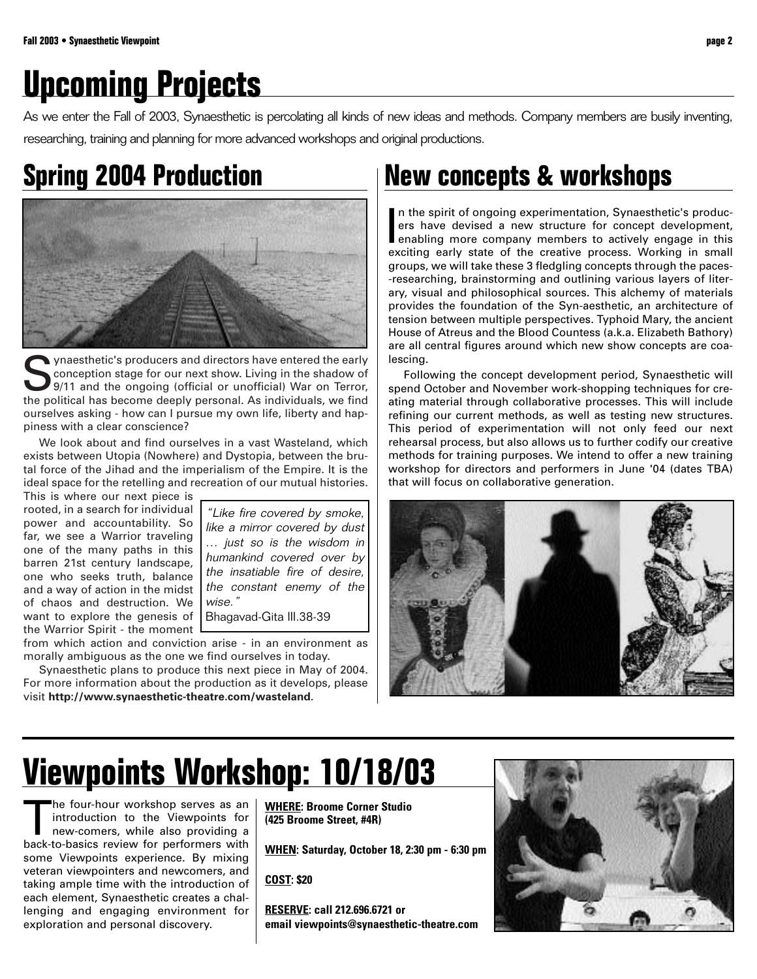# **Upcoming Projects**

As we enter the Fall of 2003, Synaesthetic is percolating all kinds of new ideas and methods. Company members are busily inventing, researching, training and planning for more advanced workshops and original productions.

## **Spring 2004 Production**



Synaesthetic's producers and directors have entered the early<br>
sonception stage for our next show. Living in the shadow of<br>
9/11 and the ongoing (official or unofficial) War on Terror,<br>
the political because deaply persona conception stage for our next show. Living in the shadow of the political has become deeply personal. As individuals, we find ourselves asking - how can I pursue my own life, liberty and happiness with a clear conscience?

We look about and find ourselves in a vast Wasteland, which exists between Utopia (Nowhere) and Dystopia, between the brutal force of the Jihad and the imperialism of the Empire. It is the ideal space for the retelling and recreation of our mutual histories.

This is where our next piece is rooted, in a search for individual power and accountability. So far, we see a Warrior traveling one of the many paths in this barren 21st century landscape, one who seeks truth, balance and a way of action in the midst of chaos and destruction. We want to explore the genesis of the Warrior Spirit - the moment

"Like fire covered by smoke, like a mirror covered by dust … just so is the wisdom in humankind covered over by the insatiable fire of desire, the constant enemy of the wise."

Bhagavad-Gita III.38-39

from which action and conviction arise - in an environment as morally ambiguous as the one we find ourselves in today.

Synaesthetic plans to produce this next piece in May of 2004. For more information about the production as it develops, please visit **http://www.synaesthetic-theatre.com/wasteland**.

### **New concepts & workshops**

In the spirit of ongoing experimentation, Synaesthetic's productions have devised a new structure for concept development, enabling more company members to actively engage in this exciting early state of the creative proce n the spirit of ongoing experimentation, Synaesthetic's producers have devised a new structure for concept development, exciting early state of the creative process. Working in small groups, we will take these 3 fledgling concepts through the paces- -researching, brainstorming and outlining various layers of literary, visual and philosophical sources. This alchemy of materials provides the foundation of the Syn-aesthetic, an architecture of tension between multiple perspectives. Typhoid Mary, the ancient House of Atreus and the Blood Countess (a.k.a. Elizabeth Bathory) are all central figures around which new show concepts are coalescing.

Following the concept development period, Synaesthetic will spend October and November work-shopping techniques for creating material through collaborative processes. This will include refining our current methods, as well as testing new structures. This period of experimentation will not only feed our next rehearsal process, but also allows us to further codify our creative methods for training purposes. We intend to offer a new training workshop for directors and performers in June '04 (dates TBA) that will focus on collaborative generation.



# **Viewpoints Workshop: 10/18/03**

The four-hour workshop serves as an introduction to the Viewpoints for<br>new-comers, while also providing a<br>hack to basise review for performance with introduction to the Viewpoints for new-comers, while also providing a back-to-basics review for performers with some Viewpoints experience. By mixing veteran viewpointers and newcomers, and taking ample time with the introduction of each element, Synaesthetic creates a challenging and engaging environment for exploration and personal discovery.

**WHERE: Broome Corner Studio (425 Broome Street, #4R)**

**WHEN: Saturday, October 18, 2:30 pm - 6:30 pm**

**COST: \$20**

**RESERVE: call 212.696.6721 or email viewpoints@synaesthetic-theatre.com**

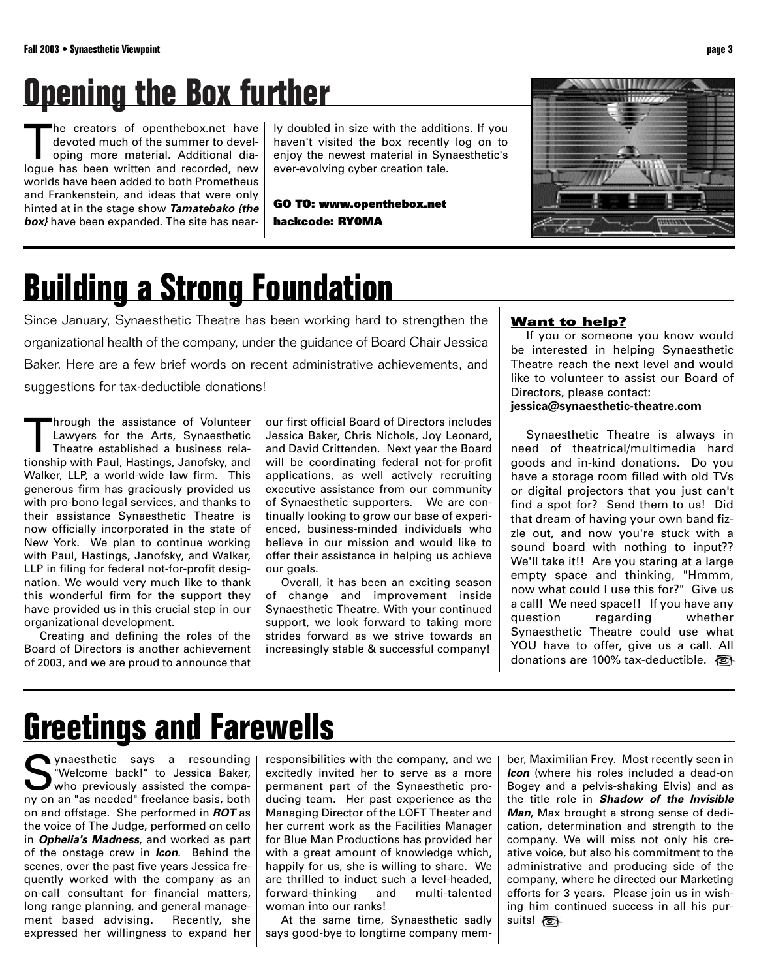# **Opening the Box further**

he creators of openthebox.net have devoted much of the summer to developing more material. Additional dialogue has been written and recorded, new worlds have been added to both Prometheus and Frankenstein, and ideas that were only hinted at in the stage show **Tamatebako {the box}** have been expanded. The site has nearly doubled in size with the additions. If you haven't visited the box recently log on to enjoy the newest material in Synaesthetic's ever-evolving cyber creation tale.

**GO TO: www.openthebox.net hackcode: RY0MA**



# **Building a Strong Foundation**

Since January, Synaesthetic Theatre has been working hard to strengthen the organizational health of the company, under the guidance of Board Chair Jessica Baker. Here are a few brief words on recent administrative achievements, and suggestions for tax-deductible donations!

Inrough the assistance of Volunteer Lawyers for the Arts, Synaesthetic Theatre established a business relationship with Paul, Hastings, Janofsky, and Walker, LLP, a world-wide law firm. This generous firm has graciously provided us with pro-bono legal services, and thanks to their assistance Synaesthetic Theatre is now officially incorporated in the state of New York. We plan to continue working with Paul, Hastings, Janofsky, and Walker, LLP in filing for federal not-for-profit designation. We would very much like to thank this wonderful firm for the support they have provided us in this crucial step in our organizational development.

Creating and defining the roles of the Board of Directors is another achievement of 2003, and we are proud to announce that our first official Board of Directors includes Jessica Baker, Chris Nichols, Joy Leonard, and David Crittenden. Next year the Board will be coordinating federal not-for-profit applications, as well actively recruiting executive assistance from our community of Synaesthetic supporters. We are continually looking to grow our base of experienced, business-minded individuals who believe in our mission and would like to offer their assistance in helping us achieve our goals.

Overall, it has been an exciting season of change and improvement inside Synaesthetic Theatre. With your continued support, we look forward to taking more strides forward as we strive towards an increasingly stable & successful company!

### **Want to help?**

If you or someone you know would be interested in helping Synaesthetic Theatre reach the next level and would like to volunteer to assist our Board of Directors, please contact:

### **jessica@synaesthetic-theatre.com**

Synaesthetic Theatre is always in need of theatrical/multimedia hard goods and in-kind donations. Do you have a storage room filled with old TVs or digital projectors that you just can't find a spot for? Send them to us! Did that dream of having your own band fizzle out, and now you're stuck with a sound board with nothing to input?? We'll take it!! Are you staring at a large empty space and thinking, "Hmmm, now what could I use this for?" Give us a call! We need space!! If you have any question regarding whether Synaesthetic Theatre could use what YOU have to offer, give us a call. All donations are 100% tax-deductible.

## **Greetings and Farewells**

ynaesthetic says a resounding "Welcome back!" to Jessica Baker, who previously assisted the company on an "as needed" freelance basis, both on and offstage. She performed in **ROT** as the voice of The Judge, performed on cello in **Ophelia's Madness**, and worked as part of the onstage crew in **Icon**. Behind the scenes, over the past five years Jessica frequently worked with the company as an on-call consultant for financial matters, long range planning, and general management based advising. Recently, she expressed her willingness to expand her responsibilities with the company, and we excitedly invited her to serve as a more permanent part of the Synaesthetic producing team. Her past experience as the Managing Director of the LOFT Theater and her current work as the Facilities Manager for Blue Man Productions has provided her with a great amount of knowledge which, happily for us, she is willing to share. We are thrilled to induct such a level-headed,<br>forward-thinking and multi-talented forward-thinking and woman into our ranks!

At the same time, Synaesthetic sadly says good-bye to longtime company mem-

ber, Maximilian Frey. Most recently seen in **Icon** (where his roles included a dead-on Bogey and a pelvis-shaking Elvis) and as the title role in **Shadow of the Invisible Man**, Max brought a strong sense of dedication, determination and strength to the company. We will miss not only his creative voice, but also his commitment to the administrative and producing side of the company, where he directed our Marketing efforts for 3 years. Please join us in wishing him continued success in all his pursuits!